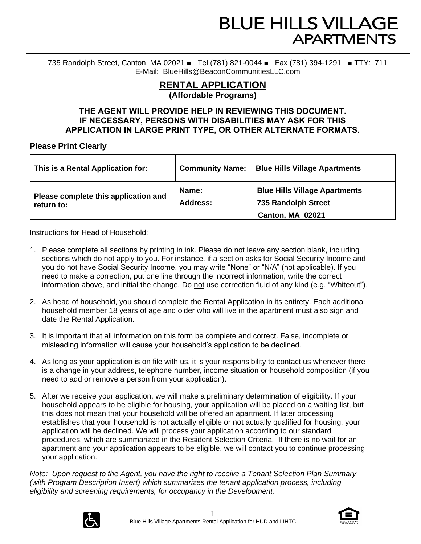735 Randolph Street, Canton, MA 02021 ■ Tel (781) 821-0044 ■ Fax (781) 394-1291 ■ TTY: 711 E-Mail: BlueHills@BeaconCommunitiesLLC.com

## **RENTAL APPLICATION (Affordable Programs)**

## **THE AGENT WILL PROVIDE HELP IN REVIEWING THIS DOCUMENT. IF NECESSARY, PERSONS WITH DISABILITIES MAY ASK FOR THIS APPLICATION IN LARGE PRINT TYPE, OR OTHER ALTERNATE FORMATS.**

## **Please Print Clearly**

| This is a Rental Application for:                                              | <b>Community Name:</b><br><b>Blue Hills Village Apartments</b>                                |
|--------------------------------------------------------------------------------|-----------------------------------------------------------------------------------------------|
| Name:<br>Please complete this application and<br><b>Address:</b><br>return to: | <b>Blue Hills Village Apartments</b><br><b>735 Randolph Street</b><br><b>Canton, MA 02021</b> |

Instructions for Head of Household:

- 1. Please complete all sections by printing in ink. Please do not leave any section blank, including sections which do not apply to you. For instance, if a section asks for Social Security Income and you do not have Social Security Income, you may write "None" or "N/A" (not applicable). If you need to make a correction, put one line through the incorrect information, write the correct information above, and initial the change. Do not use correction fluid of any kind (e.g. "Whiteout").
- 2. As head of household, you should complete the Rental Application in its entirety. Each additional household member 18 years of age and older who will live in the apartment must also sign and date the Rental Application.
- 3. It is important that all information on this form be complete and correct. False, incomplete or misleading information will cause your household's application to be declined.
- 4. As long as your application is on file with us, it is your responsibility to contact us whenever there is a change in your address, telephone number, income situation or household composition (if you need to add or remove a person from your application).
- 5. After we receive your application, we will make a preliminary determination of eligibility. If your household appears to be eligible for housing, your application will be placed on a waiting list, but this does not mean that your household will be offered an apartment. If later processing establishes that your household is not actually eligible or not actually qualified for housing, your application will be declined. We will process your application according to our standard procedures, which are summarized in the Resident Selection Criteria. If there is no wait for an apartment and your application appears to be eligible, we will contact you to continue processing your application.

*Note: Upon request to the Agent, you have the right to receive a Tenant Selection Plan Summary (with Program Description Insert) which summarizes the tenant application process, including eligibility and screening requirements, for occupancy in the Development.*



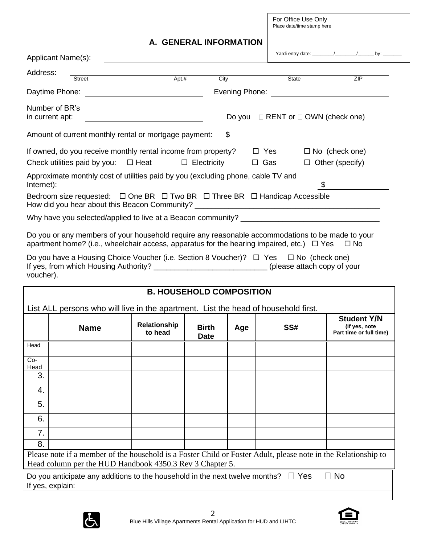For Office Use Only Place date/time stamp here

## **A. GENERAL INFORMATION**

|               | Applicant Name(s):                                                                                                                                                                                                                                                                                                                                                                                               |                                                   |                             |     |                                              | Yardi entry date: $\frac{1}{\sqrt{1-\frac{1}{2}}}\left  \frac{1}{\sqrt{1-\frac{1}{2}}}\right $ |
|---------------|------------------------------------------------------------------------------------------------------------------------------------------------------------------------------------------------------------------------------------------------------------------------------------------------------------------------------------------------------------------------------------------------------------------|---------------------------------------------------|-----------------------------|-----|----------------------------------------------|------------------------------------------------------------------------------------------------|
| Address:      | <b>Street</b>                                                                                                                                                                                                                                                                                                                                                                                                    | $Apt.$ #                                          | City                        |     | State                                        | ZIP                                                                                            |
|               | Daytime Phone:                                                                                                                                                                                                                                                                                                                                                                                                   | <u> The Communication of the Communication of</u> |                             |     |                                              | Evening Phone: <u>_____________________________</u>                                            |
|               | Number of BR's<br>in current apt:                                                                                                                                                                                                                                                                                                                                                                                |                                                   |                             |     | Do you $\Box$ RENT or $\Box$ OWN (check one) |                                                                                                |
|               | Amount of current monthly rental or mortgage payment: \$                                                                                                                                                                                                                                                                                                                                                         |                                                   |                             |     |                                              |                                                                                                |
|               | If owned, do you receive monthly rental income from property?                                                                                                                                                                                                                                                                                                                                                    |                                                   |                             |     | $\Box$ Yes                                   | $\Box$ No (check one)                                                                          |
|               | Check utilities paid by you: $\Box$ Heat                                                                                                                                                                                                                                                                                                                                                                         |                                                   | $\Box$ Electricity          |     | □ Gas                                        | $\Box$ Other (specify)                                                                         |
| Internet):    | Approximate monthly cost of utilities paid by you (excluding phone, cable TV and                                                                                                                                                                                                                                                                                                                                 |                                                   |                             |     |                                              | \$                                                                                             |
|               | Bedroom size requested: $\Box$ One BR $\Box$ Two BR $\Box$ Three BR $\Box$ Handicap Accessible                                                                                                                                                                                                                                                                                                                   |                                                   |                             |     |                                              |                                                                                                |
|               |                                                                                                                                                                                                                                                                                                                                                                                                                  |                                                   |                             |     |                                              |                                                                                                |
| voucher).     | Do you or any members of your household require any reasonable accommodations to be made to your<br>apartment home? (i.e., wheelchair access, apparatus for the hearing impaired, etc.) $\Box$ Yes $\Box$ No<br>Do you have a Housing Choice Voucher (i.e. Section 8 Voucher)? $\Box$ Yes $\Box$ No (check one)<br>If yes, from which Housing Authority? ____________________________(please attach copy of your |                                                   |                             |     |                                              |                                                                                                |
|               |                                                                                                                                                                                                                                                                                                                                                                                                                  |                                                   |                             |     |                                              |                                                                                                |
|               |                                                                                                                                                                                                                                                                                                                                                                                                                  | <b>B. HOUSEHOLD COMPOSITION</b>                   |                             |     |                                              |                                                                                                |
|               | List ALL persons who will live in the apartment. List the head of household first.                                                                                                                                                                                                                                                                                                                               |                                                   |                             |     |                                              |                                                                                                |
|               | <b>Name</b>                                                                                                                                                                                                                                                                                                                                                                                                      | Relationship<br>to head                           | <b>Birth</b><br><b>Date</b> | Age | SS#                                          | <b>Student Y/N</b><br>(If yes, note<br>Part time or full time)                                 |
| Head          |                                                                                                                                                                                                                                                                                                                                                                                                                  |                                                   |                             |     |                                              |                                                                                                |
| $Co-$<br>Head |                                                                                                                                                                                                                                                                                                                                                                                                                  |                                                   |                             |     |                                              |                                                                                                |
| 3.            |                                                                                                                                                                                                                                                                                                                                                                                                                  |                                                   |                             |     |                                              |                                                                                                |
| 4.            |                                                                                                                                                                                                                                                                                                                                                                                                                  |                                                   |                             |     |                                              |                                                                                                |
| 5.            |                                                                                                                                                                                                                                                                                                                                                                                                                  |                                                   |                             |     |                                              |                                                                                                |
| 6.            |                                                                                                                                                                                                                                                                                                                                                                                                                  |                                                   |                             |     |                                              |                                                                                                |
| 7.            |                                                                                                                                                                                                                                                                                                                                                                                                                  |                                                   |                             |     |                                              |                                                                                                |
| 8.            |                                                                                                                                                                                                                                                                                                                                                                                                                  |                                                   |                             |     |                                              |                                                                                                |
|               | Please note if a member of the household is a Foster Child or Foster Adult, please note in the Relationship to<br>Head column per the HUD Handbook 4350.3 Rev 3 Chapter 5.                                                                                                                                                                                                                                       |                                                   |                             |     |                                              |                                                                                                |
|               |                                                                                                                                                                                                                                                                                                                                                                                                                  |                                                   |                             |     |                                              |                                                                                                |

If yes, explain:



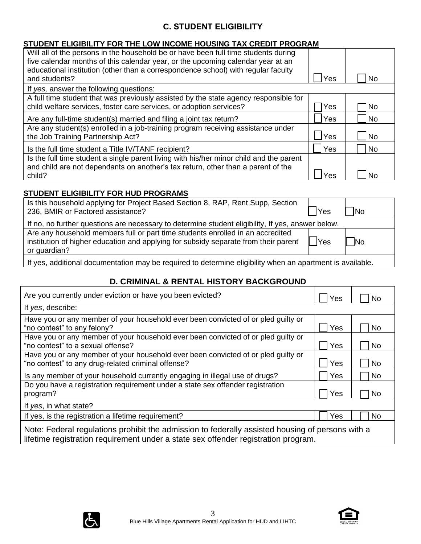## **C. STUDENT ELIGIBILITY**

## **STUDENT ELIGIBILITY FOR THE LOW INCOME HOUSING TAX CREDIT PROGRAM**

| Will all of the persons in the household be or have been full time students during<br>five calendar months of this calendar year, or the upcoming calendar year at an<br>educational institution (other than a correspondence school) with regular faculty<br>and students? | Yes  | No        |
|-----------------------------------------------------------------------------------------------------------------------------------------------------------------------------------------------------------------------------------------------------------------------------|------|-----------|
| If yes, answer the following questions:                                                                                                                                                                                                                                     |      |           |
| A full time student that was previously assisted by the state agency responsible for<br>child welfare services, foster care services, or adoption services?                                                                                                                 | Yes  | No.       |
| Are any full-time student(s) married and filing a joint tax return?                                                                                                                                                                                                         | Yes  | l No      |
| Are any student(s) enrolled in a job-training program receiving assistance under<br>the Job Training Partnership Act?                                                                                                                                                       | lYes | l No      |
| Is the full time student a Title IV/TANF recipient?                                                                                                                                                                                                                         | Yes  | <b>No</b> |
| Is the full time student a single parent living with his/her minor child and the parent<br>and child are not dependants on another's tax return, other than a parent of the<br>child?                                                                                       | Yes  | No        |

## **STUDENT ELIGIBILITY FOR HUD PROGRAMS**

| Is this household applying for Project Based Section 8, RAP, Rent Supp, Section<br>236, BMIR or Factored assistance?                                                                  | 'Yes | <b>No</b> |
|---------------------------------------------------------------------------------------------------------------------------------------------------------------------------------------|------|-----------|
| If no, no further questions are necessary to determine student eligibility, If yes, answer below.                                                                                     |      |           |
| Are any household members full or part time students enrolled in an accredited<br>institution of higher education and applying for subsidy separate from their parent<br>or guardian? | Yes  | <b>No</b> |
| If yes, additional documentation may be required to determine eligibility when an apartment is available.                                                                             |      |           |

If yes, additional documentation may be required to determine eligibility when an apartment is available.

## **D. CRIMINAL & RENTAL HISTORY BACKGROUND**

| Are you currently under eviction or have you been evicted?                                                                                                                             | Yes | <b>No</b> |  |  |  |
|----------------------------------------------------------------------------------------------------------------------------------------------------------------------------------------|-----|-----------|--|--|--|
| If yes, describe:                                                                                                                                                                      |     |           |  |  |  |
| Have you or any member of your household ever been convicted of or pled guilty or<br>"no contest" to any felony?                                                                       | Yes | <b>No</b> |  |  |  |
| Have you or any member of your household ever been convicted of or pled guilty or<br>"no contest" to a sexual offense?                                                                 | Yes | No        |  |  |  |
| Have you or any member of your household ever been convicted of or pled guilty or<br>"no contest" to any drug-related criminal offense?                                                | Yes | No        |  |  |  |
| Is any member of your household currently engaging in illegal use of drugs?                                                                                                            | Yes | <b>No</b> |  |  |  |
| Do you have a registration requirement under a state sex offender registration<br>program?                                                                                             | Yes | <b>No</b> |  |  |  |
| If yes, in what state?                                                                                                                                                                 |     |           |  |  |  |
| If yes, is the registration a lifetime requirement?                                                                                                                                    | Yes | <b>No</b> |  |  |  |
| Note: Federal regulations prohibit the admission to federally assisted housing of persons with a<br>lifetime registration requirement under a state sex offender registration program. |     |           |  |  |  |



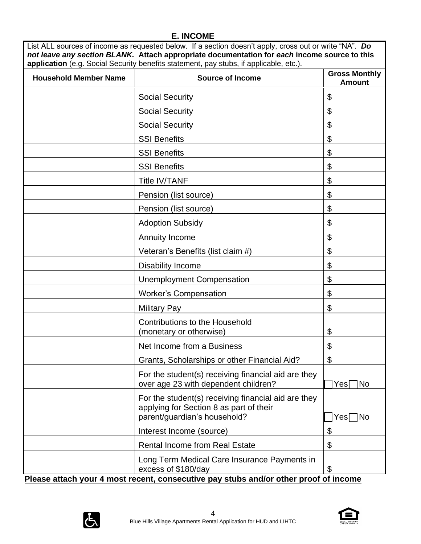## **E. INCOME**

| List ALL sources of income as requested below. If a section doesn't apply, cross out or write "NA". Do |
|--------------------------------------------------------------------------------------------------------|
| not leave any section BLANK. Attach appropriate documentation for each income source to this           |
| application (e.g. Social Security benefits statement, pay stubs, if applicable, etc.).                 |

| <b>Household Member Name</b> | <b>Source of Income</b>                                                                                                                                     | <b>Gross Monthly</b><br><b>Amount</b> |
|------------------------------|-------------------------------------------------------------------------------------------------------------------------------------------------------------|---------------------------------------|
|                              | <b>Social Security</b>                                                                                                                                      | \$                                    |
|                              | <b>Social Security</b>                                                                                                                                      | \$                                    |
|                              | <b>Social Security</b>                                                                                                                                      | \$                                    |
|                              | <b>SSI Benefits</b>                                                                                                                                         | \$                                    |
|                              | <b>SSI Benefits</b>                                                                                                                                         | \$                                    |
|                              | <b>SSI Benefits</b>                                                                                                                                         | \$                                    |
|                              | <b>Title IV/TANF</b>                                                                                                                                        | \$                                    |
|                              | Pension (list source)                                                                                                                                       | \$                                    |
|                              | Pension (list source)                                                                                                                                       | \$                                    |
|                              | <b>Adoption Subsidy</b>                                                                                                                                     | \$                                    |
|                              | <b>Annuity Income</b>                                                                                                                                       | \$                                    |
|                              | Veteran's Benefits (list claim #)                                                                                                                           | \$                                    |
|                              | <b>Disability Income</b>                                                                                                                                    | \$                                    |
|                              | <b>Unemployment Compensation</b>                                                                                                                            | \$                                    |
|                              | <b>Worker's Compensation</b>                                                                                                                                | \$                                    |
|                              | <b>Military Pay</b>                                                                                                                                         | \$                                    |
|                              | <b>Contributions to the Household</b><br>(monetary or otherwise)                                                                                            | \$                                    |
|                              | Net Income from a Business                                                                                                                                  | \$                                    |
|                              | Grants, Scholarships or other Financial Aid?                                                                                                                | \$                                    |
|                              | For the student(s) receiving financial aid are they<br>over age 23 with dependent children?                                                                 | <b>INo</b><br>Yesl                    |
|                              | For the student(s) receiving financial aid are they<br>applying for Section 8 as part of their<br>parent/guardian's household?                              | Yes∏No                                |
|                              | Interest Income (source)                                                                                                                                    | \$                                    |
|                              | <b>Rental Income from Real Estate</b>                                                                                                                       | \$                                    |
|                              | Long Term Medical Care Insurance Payments in<br>excess of \$180/day<br>Please attach your 4 most recent, consecutive pay stubs and/or other proof of income | \$                                    |

 $\bigoplus$ 



 $\overline{\phantom{a}}$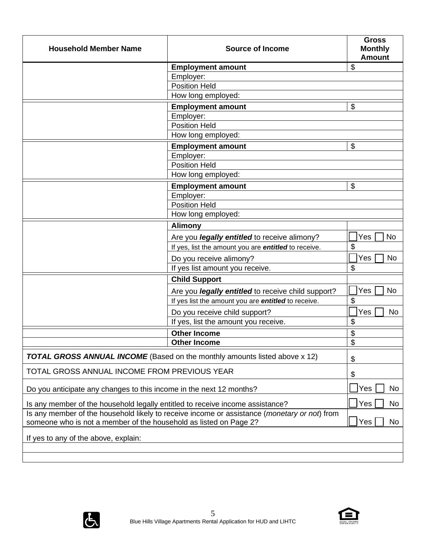| <b>Household Member Name</b><br><b>Source of Income</b>                                                                                                                    |                                                                                   |                          |  |
|----------------------------------------------------------------------------------------------------------------------------------------------------------------------------|-----------------------------------------------------------------------------------|--------------------------|--|
|                                                                                                                                                                            | <b>Employment amount</b>                                                          | \$                       |  |
|                                                                                                                                                                            | Employer:                                                                         |                          |  |
|                                                                                                                                                                            | <b>Position Held</b>                                                              |                          |  |
|                                                                                                                                                                            | How long employed:                                                                |                          |  |
|                                                                                                                                                                            | <b>Employment amount</b>                                                          | \$                       |  |
|                                                                                                                                                                            | Employer:                                                                         |                          |  |
|                                                                                                                                                                            | <b>Position Held</b>                                                              |                          |  |
|                                                                                                                                                                            | How long employed:                                                                |                          |  |
|                                                                                                                                                                            | <b>Employment amount</b>                                                          | \$                       |  |
|                                                                                                                                                                            | Employer:<br><b>Position Held</b>                                                 |                          |  |
|                                                                                                                                                                            |                                                                                   |                          |  |
|                                                                                                                                                                            | How long employed:                                                                |                          |  |
|                                                                                                                                                                            | <b>Employment amount</b>                                                          | \$                       |  |
|                                                                                                                                                                            | Employer:<br><b>Position Held</b>                                                 |                          |  |
|                                                                                                                                                                            | How long employed:                                                                |                          |  |
|                                                                                                                                                                            |                                                                                   |                          |  |
|                                                                                                                                                                            | <b>Alimony</b>                                                                    |                          |  |
|                                                                                                                                                                            | Are you <i>legally entitled</i> to receive alimony?                               | Yes<br><b>No</b>         |  |
|                                                                                                                                                                            | If yes, list the amount you are entitled to receive.                              | \$                       |  |
|                                                                                                                                                                            | Do you receive alimony?                                                           | Yes<br><b>No</b>         |  |
|                                                                                                                                                                            | If yes list amount you receive.                                                   | \$                       |  |
|                                                                                                                                                                            | <b>Child Support</b>                                                              |                          |  |
|                                                                                                                                                                            | Are you <i>legally entitled</i> to receive child support?                         | Yes<br><b>No</b>         |  |
|                                                                                                                                                                            | If yes list the amount you are entitled to receive.                               | \$                       |  |
|                                                                                                                                                                            | Do you receive child support?                                                     | Yes<br><b>No</b>         |  |
|                                                                                                                                                                            | If yes, list the amount you receive.                                              | \$                       |  |
|                                                                                                                                                                            | <b>Other Income</b>                                                               | \$                       |  |
|                                                                                                                                                                            | <b>Other Income</b>                                                               | $\overline{\mathcal{G}}$ |  |
|                                                                                                                                                                            | <b>TOTAL GROSS ANNUAL INCOME</b> (Based on the monthly amounts listed above x 12) | \$                       |  |
| TOTAL GROSS ANNUAL INCOME FROM PREVIOUS YEAR                                                                                                                               |                                                                                   | \$                       |  |
| Do you anticipate any changes to this income in the next 12 months?                                                                                                        |                                                                                   |                          |  |
| Is any member of the household legally entitled to receive income assistance?                                                                                              |                                                                                   |                          |  |
| Is any member of the household likely to receive income or assistance ( <i>monetary or not</i> ) from<br>someone who is not a member of the household as listed on Page 2? |                                                                                   |                          |  |
| If yes to any of the above, explain:                                                                                                                                       |                                                                                   |                          |  |
|                                                                                                                                                                            |                                                                                   |                          |  |
|                                                                                                                                                                            |                                                                                   |                          |  |



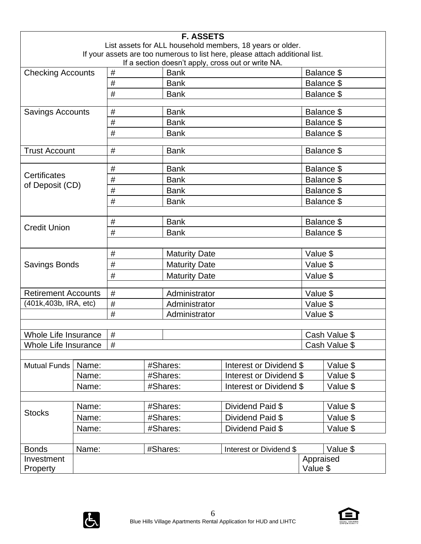|                                                                                                                                    |       |                                |               | <b>F. ASSETS</b>                    |                                                           |           |               |  |
|------------------------------------------------------------------------------------------------------------------------------------|-------|--------------------------------|---------------|-------------------------------------|-----------------------------------------------------------|-----------|---------------|--|
|                                                                                                                                    |       |                                |               |                                     | List assets for ALL household members, 18 years or older. |           |               |  |
| If your assets are too numerous to list here, please attach additional list.<br>If a section doesn't apply, cross out or write NA. |       |                                |               |                                     |                                                           |           |               |  |
| <b>Checking Accounts</b>                                                                                                           |       | #<br><b>Bank</b><br>Balance \$ |               |                                     |                                                           |           |               |  |
|                                                                                                                                    |       | #                              |               | <b>Bank</b>                         |                                                           |           | Balance \$    |  |
|                                                                                                                                    |       | #                              |               | <b>Bank</b>                         |                                                           |           | Balance \$    |  |
|                                                                                                                                    |       |                                |               |                                     |                                                           |           |               |  |
| <b>Savings Accounts</b>                                                                                                            |       | #                              |               | <b>Bank</b>                         |                                                           |           | Balance \$    |  |
|                                                                                                                                    |       | #                              |               | <b>Bank</b>                         |                                                           |           | Balance \$    |  |
|                                                                                                                                    |       | #                              |               | <b>Bank</b>                         |                                                           |           | Balance \$    |  |
| <b>Trust Account</b>                                                                                                               |       | #                              |               | <b>Bank</b>                         |                                                           |           | Balance \$    |  |
|                                                                                                                                    |       | #                              |               | <b>Bank</b>                         |                                                           |           | Balance \$    |  |
| Certificates                                                                                                                       |       | #                              |               | <b>Bank</b>                         |                                                           |           | Balance \$    |  |
| of Deposit (CD)                                                                                                                    |       | #                              |               | <b>Bank</b>                         |                                                           |           | Balance \$    |  |
|                                                                                                                                    |       | #                              |               | <b>Bank</b>                         |                                                           |           | Balance \$    |  |
|                                                                                                                                    |       |                                |               |                                     |                                                           |           |               |  |
|                                                                                                                                    |       | #                              |               | <b>Bank</b>                         |                                                           |           | Balance \$    |  |
| <b>Credit Union</b>                                                                                                                |       | #                              |               | <b>Bank</b>                         |                                                           |           | Balance \$    |  |
|                                                                                                                                    |       |                                |               |                                     |                                                           |           |               |  |
| <b>Savings Bonds</b>                                                                                                               |       | $\#$                           |               | <b>Maturity Date</b>                |                                                           | Value \$  |               |  |
|                                                                                                                                    |       | #                              |               | <b>Maturity Date</b>                |                                                           | Value \$  |               |  |
|                                                                                                                                    |       | #<br><b>Maturity Date</b>      |               |                                     | Value \$                                                  |           |               |  |
| <b>Retirement Accounts</b>                                                                                                         |       | #                              |               | Administrator                       |                                                           | Value \$  |               |  |
| (401k, 403b, IRA, etc)                                                                                                             |       | #                              |               | Administrator                       |                                                           | Value \$  |               |  |
|                                                                                                                                    |       | #                              | Administrator |                                     | Value \$                                                  |           |               |  |
|                                                                                                                                    |       |                                |               |                                     |                                                           |           |               |  |
| Whole Life Insurance                                                                                                               |       | #                              |               |                                     |                                                           |           | Cash Value \$ |  |
| Whole Life Insurance                                                                                                               |       | #                              |               |                                     |                                                           |           | Cash Value \$ |  |
|                                                                                                                                    |       |                                |               |                                     |                                                           |           |               |  |
| <b>Mutual Funds</b>                                                                                                                | Name: |                                |               | #Shares:                            | Interest or Dividend \$                                   |           | Value \$      |  |
|                                                                                                                                    | Name: |                                |               | Interest or Dividend \$<br>#Shares: |                                                           |           | Value \$      |  |
|                                                                                                                                    | Name: |                                |               | #Shares:                            | Interest or Dividend \$                                   |           | Value \$      |  |
|                                                                                                                                    | Name: |                                | #Shares:      |                                     | Dividend Paid \$                                          |           | Value \$      |  |
| <b>Stocks</b>                                                                                                                      | Name: |                                |               | #Shares:                            | Dividend Paid \$                                          |           | Value \$      |  |
|                                                                                                                                    | Name: |                                |               | #Shares:                            | Dividend Paid \$                                          |           | Value \$      |  |
|                                                                                                                                    |       |                                |               |                                     |                                                           |           |               |  |
| <b>Bonds</b>                                                                                                                       | Name: |                                |               | #Shares:                            | Interest or Dividend \$                                   |           | Value \$      |  |
| Investment                                                                                                                         |       |                                |               |                                     |                                                           | Appraised |               |  |
| <b>Property</b>                                                                                                                    |       |                                |               |                                     |                                                           | Value \$  |               |  |



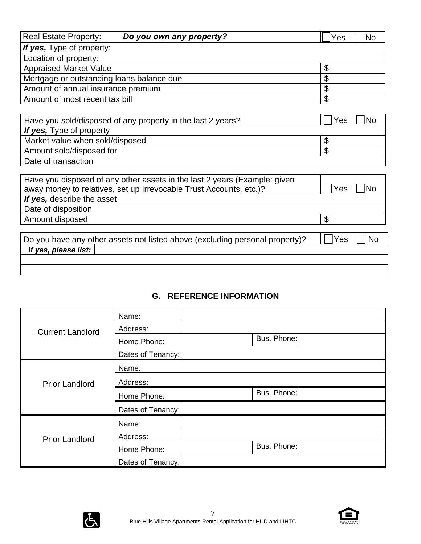| <b>Real Estate Property:</b>              | Do you own any property? | No<br>Yes |
|-------------------------------------------|--------------------------|-----------|
| If yes, Type of property:                 |                          |           |
| Location of property:                     |                          |           |
| <b>Appraised Market Value</b>             |                          |           |
| Mortgage or outstanding loans balance due |                          | Œ         |
| Amount of annual insurance premium        |                          | S         |
| Amount of most recent tax bill            |                          | S         |
|                                           |                          |           |

| Have you sold/disposed of any property in the last 2 years? | No<br>Yes |
|-------------------------------------------------------------|-----------|
| If yes, Type of property                                    |           |
| Market value when sold/disposed                             |           |
| Amount sold/disposed for                                    |           |
| Date of transaction                                         |           |

| Have you disposed of any other assets in the last 2 years (Example: given<br>away money to relatives, set up Irrevocable Trust Accounts, etc.)? | No<br>Yes |
|-------------------------------------------------------------------------------------------------------------------------------------------------|-----------|
| If yes, describe the asset                                                                                                                      |           |
| Date of disposition                                                                                                                             |           |
| Amount disposed                                                                                                                                 |           |
|                                                                                                                                                 |           |
| Do you have any other assets not listed above (excluding personal property)?                                                                    | Yes<br>No |

## **G. REFERENCE INFORMATION**

| <b>Current Landlord</b> | Name:             |             |
|-------------------------|-------------------|-------------|
|                         | Address:          |             |
|                         | Home Phone:       | Bus. Phone: |
|                         | Dates of Tenancy: |             |
| <b>Prior Landlord</b>   | Name:             |             |
|                         | Address:          |             |
|                         | Home Phone:       | Bus. Phone: |
|                         | Dates of Tenancy: |             |
|                         | Name:             |             |
| <b>Prior Landlord</b>   | Address:          |             |
|                         | Home Phone:       | Bus. Phone: |
|                         | Dates of Tenancy: |             |



*If yes, please list:*

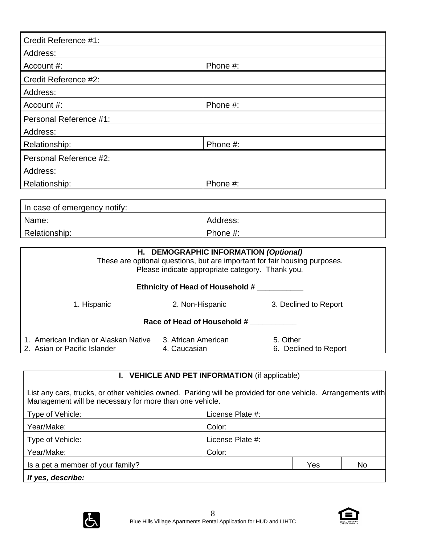| Credit Reference #1:         |          |
|------------------------------|----------|
| Address:                     |          |
| Account #:                   | Phone #: |
| Credit Reference #2:         |          |
| Address:                     |          |
| Account #:                   | Phone #: |
| Personal Reference #1:       |          |
| Address:                     |          |
| Relationship:                | Phone #: |
| Personal Reference #2:       |          |
| Address:                     |          |
| Relationship:                | Phone #: |
|                              |          |
| In case of emergency notify: |          |

| I In case of emergency notify: |          |
|--------------------------------|----------|
| Name:                          | Address: |
| Relationship:                  | Phone #: |

| H. DEMOGRAPHIC INFORMATION (Optional)<br>These are optional questions, but are important for fair housing purposes.<br>Please indicate appropriate category. Thank you. |                                     |                                   |
|-------------------------------------------------------------------------------------------------------------------------------------------------------------------------|-------------------------------------|-----------------------------------|
| Ethnicity of Head of Household #                                                                                                                                        |                                     |                                   |
| 1. Hispanic                                                                                                                                                             | 2. Non-Hispanic                     | 3. Declined to Report             |
| Race of Head of Household #                                                                                                                                             |                                     |                                   |
| American Indian or Alaskan Native<br>2. Asian or Pacific Islander                                                                                                       | 3. African American<br>4. Caucasian | 5. Other<br>6. Declined to Report |

## **I. VEHICLE AND PET INFORMATION** (if applicable)

List any cars, trucks, or other vehicles owned. Parking will be provided for one vehicle. Arrangements with Management will be necessary for more than one vehicle.

| Type of Vehicle:                  | License Plate #: |  |  |
|-----------------------------------|------------------|--|--|
| Year/Make:                        | Color:           |  |  |
| Type of Vehicle:                  | License Plate #: |  |  |
| Year/Make:                        | Color:           |  |  |
| Is a pet a member of your family? | No<br>Yes        |  |  |
| If yes, describe:                 |                  |  |  |



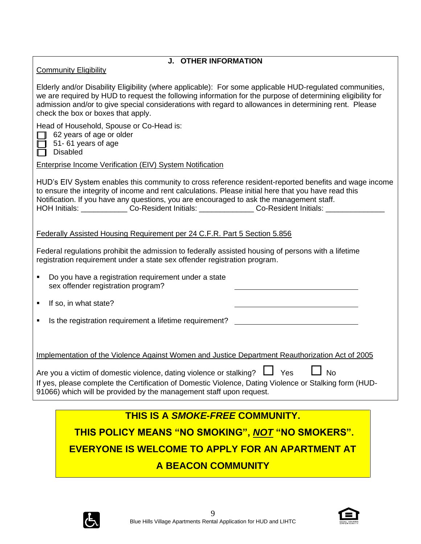| <b>J. OTHER INFORMATION</b><br><b>Community Eligibility</b>                                                                                                                                                                                                                                                                                                                                                            |
|------------------------------------------------------------------------------------------------------------------------------------------------------------------------------------------------------------------------------------------------------------------------------------------------------------------------------------------------------------------------------------------------------------------------|
|                                                                                                                                                                                                                                                                                                                                                                                                                        |
| Elderly and/or Disability Eligibility (where applicable): For some applicable HUD-regulated communities,<br>we are required by HUD to request the following information for the purpose of determining eligibility for<br>admission and/or to give special considerations with regard to allowances in determining rent. Please<br>check the box or boxes that apply.                                                  |
| Head of Household, Spouse or Co-Head is:<br>$\Box$ 62 years of age or older<br>51-61 years of age<br><b>Disabled</b>                                                                                                                                                                                                                                                                                                   |
| <b>Enterprise Income Verification (EIV) System Notification</b>                                                                                                                                                                                                                                                                                                                                                        |
| HUD's EIV System enables this community to cross reference resident-reported benefits and wage income<br>to ensure the integrity of income and rent calculations. Please initial here that you have read this<br>Notification. If you have any questions, you are encouraged to ask the management staff.<br>HOH Initials: ______________Co-Resident Initials: ________________Co-Resident Initials: _________________ |
| Federally Assisted Housing Requirement per 24 C.F.R. Part 5 Section 5.856                                                                                                                                                                                                                                                                                                                                              |
| Federal regulations prohibit the admission to federally assisted housing of persons with a lifetime<br>registration requirement under a state sex offender registration program.                                                                                                                                                                                                                                       |
| Do you have a registration requirement under a state<br>٠<br>sex offender registration program?                                                                                                                                                                                                                                                                                                                        |
| If so, in what state?<br>٠                                                                                                                                                                                                                                                                                                                                                                                             |
| Is the registration requirement a lifetime requirement?                                                                                                                                                                                                                                                                                                                                                                |
| Implementation of the Violence Against Women and Justice Department Reauthorization Act of 2005                                                                                                                                                                                                                                                                                                                        |
| <b>No</b><br>Yes<br>Are you a victim of domestic violence, dating violence or stalking?<br>If yes, please complete the Certification of Domestic Violence, Dating Violence or Stalking form (HUD-<br>91066) which will be provided by the management staff upon request.                                                                                                                                               |
|                                                                                                                                                                                                                                                                                                                                                                                                                        |

**THIS IS A** *SMOKE-FREE* **COMMUNITY. THIS POLICY MEANS "NO SMOKING",** *NOT* **"NO SMOKERS".** 

**EVERYONE IS WELCOME TO APPLY FOR AN APARTMENT AT** 

## **A BEACON COMMUNITY**



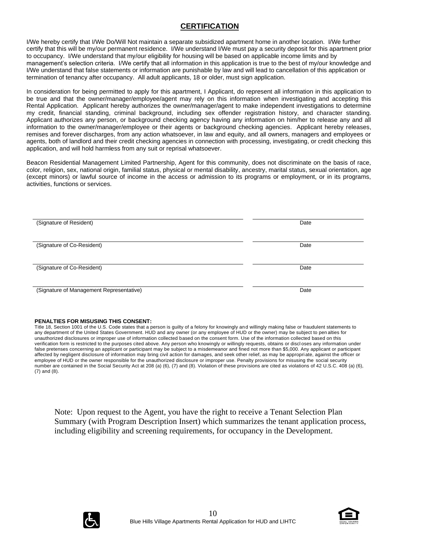#### **CERTIFICATION**

I/We hereby certify that I/We Do/Will Not maintain a separate subsidized apartment home in another location. I/We further certify that this will be my/our permanent residence. I/We understand I/We must pay a security deposit for this apartment prior to occupancy. I/We understand that my/our eligibility for housing will be based on applicable income limits and by management's selection criteria. I/We certify that all information in this application is true to the best of my/our knowledge and I/We understand that false statements or information are punishable by law and will lead to cancellation of this application or termination of tenancy after occupancy. All adult applicants, 18 or older, must sign application.

In consideration for being permitted to apply for this apartment, I Applicant, do represent all information in this application to be true and that the owner/manager/employee/agent may rely on this information when investigating and accepting this Rental Application. Applicant hereby authorizes the owner/manager/agent to make independent investigations to determine my credit, financial standing, criminal background, including sex offender registration history, and character standing. Applicant authorizes any person, or background checking agency having any information on him/her to release any and all information to the owner/manager/employee or their agents or background checking agencies. Applicant hereby releases, remises and forever discharges, from any action whatsoever, in law and equity, and all owners, managers and employees or agents, both of landlord and their credit checking agencies in connection with processing, investigating, or credit checking this application, and will hold harmless from any suit or reprisal whatsoever.

Beacon Residential Management Limited Partnership, Agent for this community, does not discriminate on the basis of race, color, religion, sex, national origin, familial status, physical or mental disability, ancestry, marital status, sexual orientation, age (except minors) or lawful source of income in the access or admission to its programs or employment, or in its programs, activities, functions or services.

| (Signature of Resident)                  | Date |
|------------------------------------------|------|
|                                          |      |
| (Signature of Co-Resident)               | Date |
|                                          |      |
| (Signature of Co-Resident)               | Date |
|                                          |      |
| (Signature of Management Representative) | Date |

#### **PENALTIES FOR MISUSING THIS CONSENT:**

Title 18, Section 1001 of the U.S. Code states that a person is guilty of a felony for knowingly and willingly making false or fraudulent statements to any department of the United States Government. HUD and any owner (or any employee of HUD or the owner) may be subject to pen alties for unauthorized disclosures or improper use of information collected based on the consent form. Use of the information collected based on this verification form is restricted to the purposes cited above. Any person who knowingly or willingly requests, obtains or discl oses any information under false pretenses concerning an applicant or participant may be subject to a misdemeanor and fined not more than \$5,000. Any applicant or participant affected by negligent disclosure of information may bring civil action for damages, and seek other relief, as may be appropri ate, against the officer or employee of HUD or the owner responsible for the unauthorized disclosure or improper use. Penalty provisions for misusing the social security number are contained in the Social Security Act at 208 (a) (6), (7) and (8). Violation of these provisions are cited as violations of 42 U.S.C. 408 (a) (6), (7) and (8).

Note: Upon request to the Agent, you have the right to receive a Tenant Selection Plan Summary (with Program Description Insert) which summarizes the tenant application process, including eligibility and screening requirements, for occupancy in the Development.



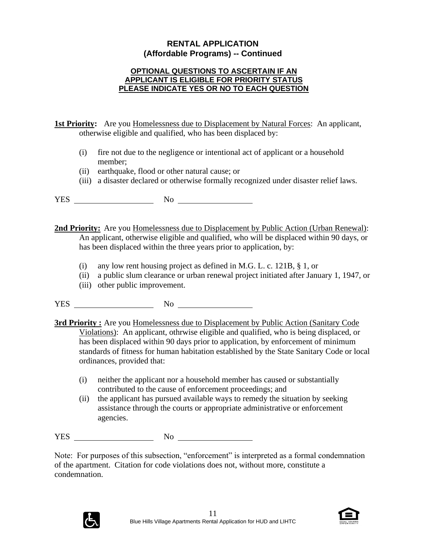## **RENTAL APPLICATION (Affordable Programs) -- Continued**

#### **OPTIONAL QUESTIONS TO ASCERTAIN IF AN APPLICANT IS ELIGIBLE FOR PRIORITY STATUS PLEASE INDICATE YES OR NO TO EACH QUESTION**

**1st Priority:** Are you Homelessness due to Displacement by Natural Forces: An applicant, otherwise eligible and qualified, who has been displaced by:

- (i) fire not due to the negligence or intentional act of applicant or a household member;
- (ii) earthquake, flood or other natural cause; or
- (iii) a disaster declared or otherwise formally recognized under disaster relief laws.

YES No No No

**2nd Priority:** Are you Homelessness due to Displacement by Public Action (Urban Renewal): An applicant, otherwise eligible and qualified, who will be displaced within 90 days, or has been displaced within the three years prior to application, by:

- (i) any low rent housing project as defined in M.G. L. c. 121B,  $\S$  1, or
- (ii) a public slum clearance or urban renewal project initiated after January 1, 1947, or
- (iii) other public improvement.

YES No

**3rd Priority :** Are you Homelessness due to Displacement by Public Action (Sanitary Code) Violations): An applicant, othrwise eligible and qualified, who is being displaced, or has been displaced within 90 days prior to application, by enforcement of minimum standards of fitness for human habitation established by the State Sanitary Code or local ordinances, provided that:

- (i) neither the applicant nor a household member has caused or substantially contributed to the cause of enforcement proceedings; and
- (ii) the applicant has pursued available ways to remedy the situation by seeking assistance through the courts or appropriate administrative or enforcement agencies.

YES No No

Note: For purposes of this subsection, "enforcement" is interpreted as a formal condemnation of the apartment. Citation for code violations does not, without more, constitute a condemnation.



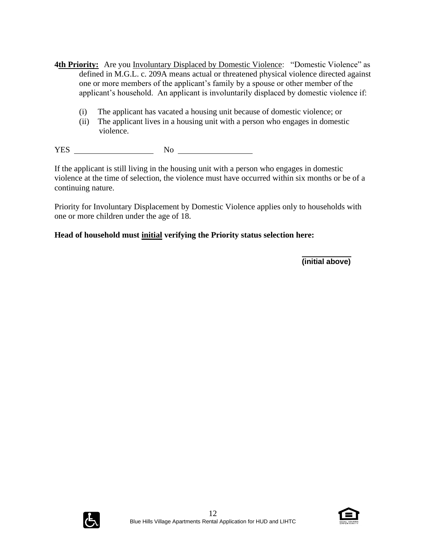- **4th Priority:** Are you Involuntary Displaced by Domestic Violence: "Domestic Violence" as defined in M.G.L. c. 209A means actual or threatened physical violence directed against one or more members of the applicant's family by a spouse or other member of the applicant's household. An applicant is involuntarily displaced by domestic violence if:
	- (i) The applicant has vacated a housing unit because of domestic violence; or
	- (ii) The applicant lives in a housing unit with a person who engages in domestic violence.

YES No

If the applicant is still living in the housing unit with a person who engages in domestic violence at the time of selection, the violence must have occurred within six months or be of a continuing nature.

Priority for Involuntary Displacement by Domestic Violence applies only to households with one or more children under the age of 18.

## **Head of household must initial verifying the Priority status selection here:**

**(initial above)**



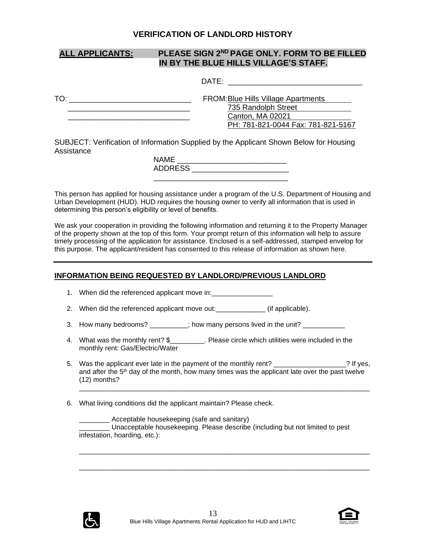#### **VERIFICATION OF LANDLORD HISTORY**

## **ALL APPLICANTS: PLEASE SIGN 2ND PAGE ONLY. FORM TO BE FILLED IN BY THE BLUE HILLS VILLAGE'S STAFF.**

|     | DATE:                               |
|-----|-------------------------------------|
| TO: | FROM: Blue Hills Village Apartments |
|     | 735 Randolph Street                 |
|     | Canton, MA 02021                    |
|     | PH: 781-821-0044 Fax: 781-821-5167  |

SUBJECT: Verification of Information Supplied by the Applicant Shown Below for Housing **Assistance** 

| NAME           |  |
|----------------|--|
| <b>ADDRESS</b> |  |
|                |  |

This person has applied for housing assistance under a program of the U.S. Department of Housing and Urban Development (HUD). HUD requires the housing owner to verify all information that is used in determining this person's eligibility or level of benefits.

We ask your cooperation in providing the following information and returning it to the Property Manager of the property shown at the top of this form. Your prompt return of this information will help to assure timely processing of the application for assistance. Enclosed is a self-addressed, stamped envelop for this purpose. The applicant/resident has consented to this release of information as shown here.

#### **INFORMATION BEING REQUESTED BY LANDLORD/PREVIOUS LANDLORD**

|  | 1. When did the referenced applicant move in: |
|--|-----------------------------------------------|
|--|-----------------------------------------------|

- 2. When did the referenced applicant move out:\_\_\_\_\_\_\_\_\_\_\_\_\_\_\_ (if applicable).
- 3. How many bedrooms?  $\cdot$  ; how many persons lived in the unit?
- 4. What was the monthly rent? \$\_\_\_\_\_\_\_\_\_. Please circle which utilities were included in the monthly rent: Gas/Electric/Water
- 5. Was the applicant ever late in the payment of the monthly rent? 2. The monormular state is not in the payment of the monthly rent? and after the  $5<sup>th</sup>$  day of the month, how many times was the applicant late over the past twelve (12) months?

\_\_\_\_\_\_\_\_\_\_\_\_\_\_\_\_\_\_\_\_\_\_\_\_\_\_\_\_\_\_\_\_\_\_\_\_\_\_\_\_\_\_\_\_\_\_\_\_\_\_\_\_\_\_\_\_\_\_\_\_\_\_\_\_\_\_\_\_\_\_\_\_\_\_\_\_

\_\_\_\_\_\_\_\_\_\_\_\_\_\_\_\_\_\_\_\_\_\_\_\_\_\_\_\_\_\_\_\_\_\_\_\_\_\_\_\_\_\_\_\_\_\_\_\_\_\_\_\_\_\_\_\_\_\_\_\_\_\_\_\_\_\_\_\_\_\_\_\_\_\_\_\_

\_\_\_\_\_\_\_\_\_\_\_\_\_\_\_\_\_\_\_\_\_\_\_\_\_\_\_\_\_\_\_\_\_\_\_\_\_\_\_\_\_\_\_\_\_\_\_\_\_\_\_\_\_\_\_\_\_\_\_\_\_\_\_\_\_\_\_\_\_\_\_\_\_\_\_\_

6. What living conditions did the applicant maintain? Please check.

\_\_\_\_\_\_\_\_ Acceptable housekeeping (safe and sanitary) \_\_\_\_\_\_\_\_ Unacceptable housekeeping. Please describe (including but not limited to pest infestation, hoarding, etc.):



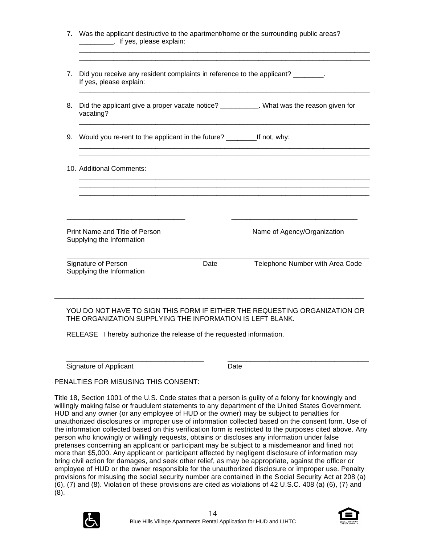| 7. | Did you receive any resident complaints in reference to the applicant? _______.<br>If yes, please explain:                                                                          |      |                                                                                           |
|----|-------------------------------------------------------------------------------------------------------------------------------------------------------------------------------------|------|-------------------------------------------------------------------------------------------|
| 8. | vacating?                                                                                                                                                                           |      | Did the applicant give a proper vacate notice? ___________. What was the reason given for |
| 9. |                                                                                                                                                                                     |      |                                                                                           |
|    | 10. Additional Comments:                                                                                                                                                            |      |                                                                                           |
|    | <u> 2000 - Jan James James Jan James James James James James James James James James James James James James Jam</u><br>Print Name and Title of Person<br>Supplying the Information |      | Name of Agency/Organization                                                               |
|    | Signature of Person<br>Supplying the Information                                                                                                                                    | Date | Telephone Number with Area Code                                                           |

RELEASE I hereby authorize the release of the requested information.

\_\_\_\_\_\_\_\_\_\_\_\_\_\_\_\_\_\_\_\_\_\_\_\_\_\_\_\_\_\_\_\_\_\_\_\_ \_\_\_\_\_\_\_\_\_\_\_\_\_\_\_\_\_\_\_\_\_\_\_\_\_\_\_\_\_\_\_\_\_\_\_\_\_ Signature of Applicant Date

PENALTIES FOR MISUSING THIS CONSENT:

Title 18, Section 1001 of the U.S. Code states that a person is guilty of a felony for knowingly and willingly making false or fraudulent statements to any department of the United States Government. HUD and any owner (or any employee of HUD or the owner) may be subject to penalties for unauthorized disclosures or improper use of information collected based on the consent form. Use of the information collected based on this verification form is restricted to the purposes cited above. Any person who knowingly or willingly requests, obtains or discloses any information under false pretenses concerning an applicant or participant may be subject to a misdemeanor and fined not more than \$5,000. Any applicant or participant affected by negligent disclosure of information may bring civil action for damages, and seek other relief, as may be appropriate, against the officer or employee of HUD or the owner responsible for the unauthorized disclosure or improper use. Penalty provisions for misusing the social security number are contained in the Social Security Act at 208 (a) (6), (7) and (8). Violation of these provisions are cited as violations of 42 U.S.C. 408 (a) (6), (7) and (8).



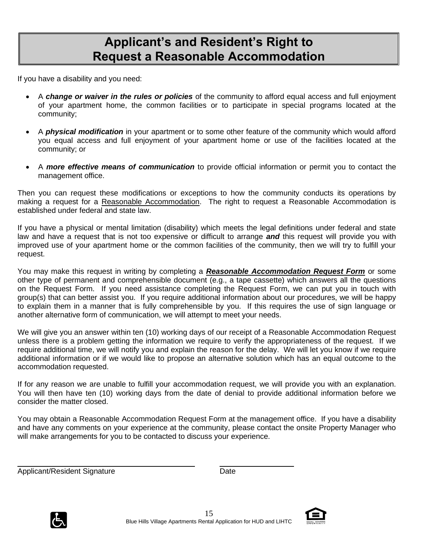# **Applicant's and Resident's Right to Request a Reasonable Accommodation**

If you have a disability and you need:

- A *change or waiver in the rules or policies* of the community to afford equal access and full enjoyment of your apartment home, the common facilities or to participate in special programs located at the community;
- A *physical modification* in your apartment or to some other feature of the community which would afford you equal access and full enjoyment of your apartment home or use of the facilities located at the community; or
- A *more effective means of communication* to provide official information or permit you to contact the management office.

Then you can request these modifications or exceptions to how the community conducts its operations by making a request for a Reasonable Accommodation. The right to request a Reasonable Accommodation is established under federal and state law.

If you have a physical or mental limitation (disability) which meets the legal definitions under federal and state law and have a request that is not too expensive or difficult to arrange *and* this request will provide you with improved use of your apartment home or the common facilities of the community, then we will try to fulfill your request.

You may make this request in writing by completing a *Reasonable Accommodation Request Form* or some other type of permanent and comprehensible document (e.g., a tape cassette) which answers all the questions on the Request Form. If you need assistance completing the Request Form, we can put you in touch with group(s) that can better assist you. If you require additional information about our procedures, we will be happy to explain them in a manner that is fully comprehensible by you. If this requires the use of sign language or another alternative form of communication, we will attempt to meet your needs.

We will give you an answer within ten (10) working days of our receipt of a Reasonable Accommodation Request unless there is a problem getting the information we require to verify the appropriateness of the request. If we require additional time, we will notify you and explain the reason for the delay. We will let you know if we require additional information or if we would like to propose an alternative solution which has an equal outcome to the accommodation requested.

If for any reason we are unable to fulfill your accommodation request, we will provide you with an explanation. You will then have ten (10) working days from the date of denial to provide additional information before we consider the matter closed.

You may obtain a Reasonable Accommodation Request Form at the management office. If you have a disability and have any comments on your experience at the community, please contact the onsite Property Manager who will make arrangements for you to be contacted to discuss your experience.

Applicant/Resident Signature Date